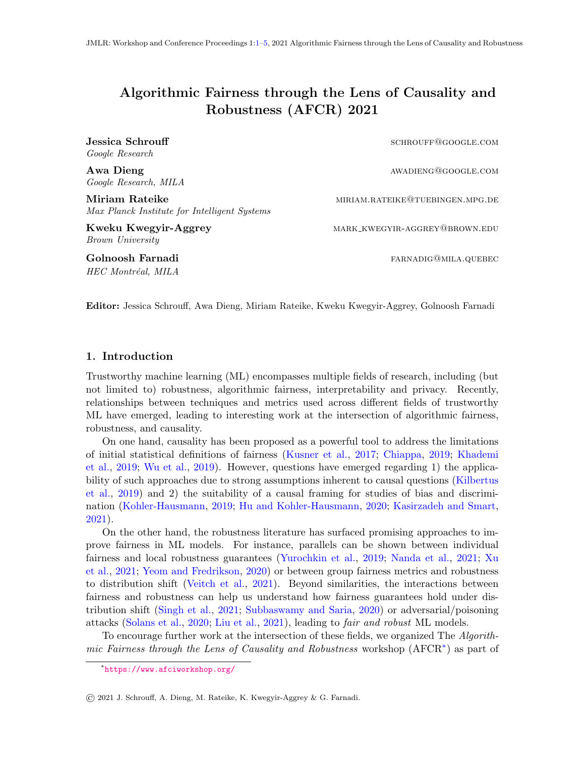# <span id="page-0-1"></span><span id="page-0-0"></span>Algorithmic Fairness through the Lens of Causality and Robustness (AFCR) 2021

Google Research

Google Research, MILA

Miriam Rateike miriam.com miriam.rateike@tuebingen.mpg.de Max Planck Institute for Intelligent Systems

Brown University

HEC Montréal, MILA

Jessica Schrouff schrought schrought schrought schrought schrought schrought schrought schrought schrought schrought schrought schrought schrought schrought schrought schrought schrought schrought schrought schrought schro

Awa Dieng awadieng awadieng awadieng awadieng awadieng awadieng awadieng awadieng awadieng awadieng awadieng awa

Kweku Kwegyir-Aggrey MARK KWEGYIR-AGGREY@BROWN.EDU

Golnoosh Farnadi farnadiga farnadiga farnadiga farnadiga farnadiga farnadiga farnadiga farnadiga farnadiga far

Editor: Jessica Schrouff, Awa Dieng, Miriam Rateike, Kweku Kwegyir-Aggrey, Golnoosh Farnadi

#### 1. Introduction

Trustworthy machine learning (ML) encompasses multiple fields of research, including (but not limited to) robustness, algorithmic fairness, interpretability and privacy. Recently, relationships between techniques and metrics used across different fields of trustworthy ML have emerged, leading to interesting work at the intersection of algorithmic fairness, robustness, and causality.

On one hand, causality has been proposed as a powerful tool to address the limitations of initial statistical definitions of fairness [\(Kusner et al.,](#page-4-1) [2017;](#page-4-1) [Chiappa,](#page-3-0) [2019;](#page-3-0) [Khademi](#page-3-1) [et al.,](#page-3-1) [2019;](#page-3-1) [Wu et al.,](#page-4-2) [2019\)](#page-4-2). However, questions have emerged regarding 1) the applicability of such approaches due to strong assumptions inherent to causal questions [\(Kilbertus](#page-3-2) [et al.,](#page-3-2) [2019\)](#page-3-2) and 2) the suitability of a causal framing for studies of bias and discrimination [\(Kohler-Hausmann,](#page-3-3) [2019;](#page-3-3) [Hu and Kohler-Hausmann,](#page-3-4) [2020;](#page-3-4) [Kasirzadeh and Smart,](#page-3-5) [2021\)](#page-3-5).

On the other hand, the robustness literature has surfaced promising approaches to improve fairness in ML models. For instance, parallels can be shown between individual fairness and local robustness guarantees [\(Yurochkin et al.,](#page-4-3) [2019;](#page-4-3) [Nanda et al.,](#page-4-4) [2021;](#page-4-4) [Xu](#page-4-5) [et al.,](#page-4-5) [2021;](#page-4-5) [Yeom and Fredrikson,](#page-4-6) [2020\)](#page-4-6) or between group fairness metrics and robustness to distribution shift [\(Veitch et al.,](#page-4-7) [2021\)](#page-4-7). Beyond similarities, the interactions between fairness and robustness can help us understand how fairness guarantees hold under distribution shift [\(Singh et al.,](#page-4-8) [2021;](#page-4-8) [Subbaswamy and Saria,](#page-4-9) [2020\)](#page-4-9) or adversarial/poisoning attacks [\(Solans et al.,](#page-4-10) [2020;](#page-4-10) [Liu et al.,](#page-4-11) [2021\)](#page-4-11), leading to fair and robust ML models.

To encourage further work at the intersection of these fields, we organized The Algorithmic Fairness through the Lens of Causality and Robustness workshop (AFCR<sup>\*</sup>) as part of

<sup>∗</sup> <https://www.afciworkshop.org/>

<sup>©</sup> 2021 J. Schrouff, A. Dieng, M. Rateike, K. Kwegyir-Aggrey & G. Farnadi.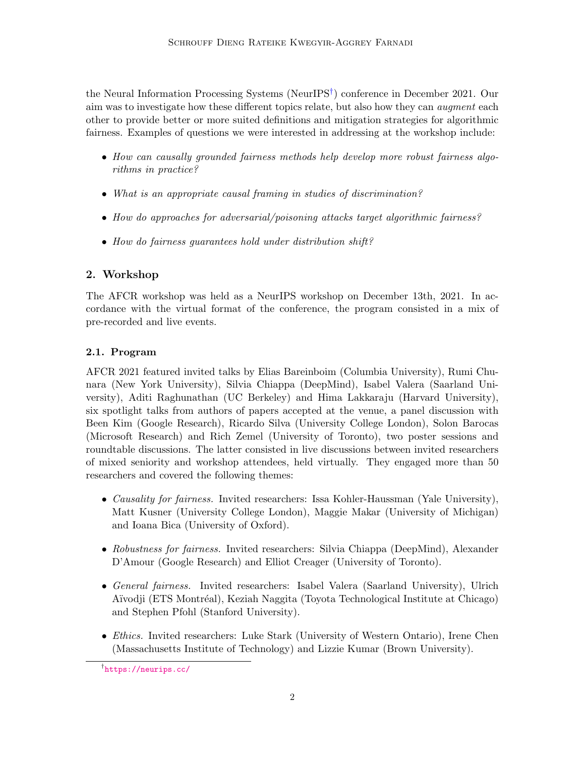the Neural Information Processing Systems (NeurIPS[†](#page-0-1) ) conference in December 2021. Our aim was to investigate how these different topics relate, but also how they can augment each other to provide better or more suited definitions and mitigation strategies for algorithmic fairness. Examples of questions we were interested in addressing at the workshop include:

- How can causally grounded fairness methods help develop more robust fairness algorithms in practice?
- What is an appropriate causal framing in studies of discrimination?
- How do approaches for adversarial/poisoning attacks target algorithmic fairness?
- How do fairness guarantees hold under distribution shift?

# 2. Workshop

The AFCR workshop was held as a NeurIPS workshop on December 13th, 2021. In accordance with the virtual format of the conference, the program consisted in a mix of pre-recorded and live events.

## 2.1. Program

AFCR 2021 featured invited talks by Elias Bareinboim (Columbia University), Rumi Chunara (New York University), Silvia Chiappa (DeepMind), Isabel Valera (Saarland University), Aditi Raghunathan (UC Berkeley) and Hima Lakkaraju (Harvard University), six spotlight talks from authors of papers accepted at the venue, a panel discussion with Been Kim (Google Research), Ricardo Silva (University College London), Solon Barocas (Microsoft Research) and Rich Zemel (University of Toronto), two poster sessions and roundtable discussions. The latter consisted in live discussions between invited researchers of mixed seniority and workshop attendees, held virtually. They engaged more than 50 researchers and covered the following themes:

- Causality for fairness. Invited researchers: Issa Kohler-Haussman (Yale University), Matt Kusner (University College London), Maggie Makar (University of Michigan) and Ioana Bica (University of Oxford).
- Robustness for fairness. Invited researchers: Silvia Chiappa (DeepMind), Alexander D'Amour (Google Research) and Elliot Creager (University of Toronto).
- General fairness. Invited researchers: Isabel Valera (Saarland University), Ulrich A¨ıvodji (ETS Montr´eal), Keziah Naggita (Toyota Technological Institute at Chicago) and Stephen Pfohl (Stanford University).
- Ethics. Invited researchers: Luke Stark (University of Western Ontario), Irene Chen (Massachusetts Institute of Technology) and Lizzie Kumar (Brown University).

<sup>†</sup> <https://neurips.cc/>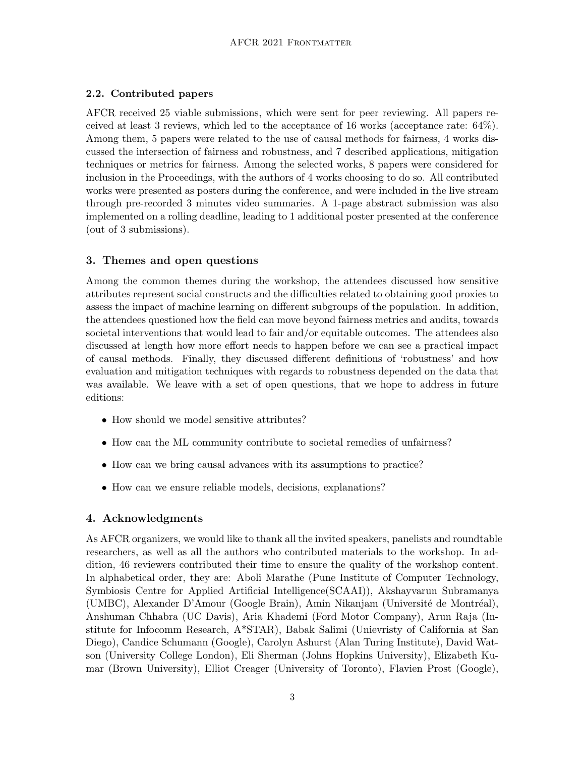#### 2.2. Contributed papers

AFCR received 25 viable submissions, which were sent for peer reviewing. All papers received at least 3 reviews, which led to the acceptance of 16 works (acceptance rate: 64%). Among them, 5 papers were related to the use of causal methods for fairness, 4 works discussed the intersection of fairness and robustness, and 7 described applications, mitigation techniques or metrics for fairness. Among the selected works, 8 papers were considered for inclusion in the Proceedings, with the authors of 4 works choosing to do so. All contributed works were presented as posters during the conference, and were included in the live stream through pre-recorded 3 minutes video summaries. A 1-page abstract submission was also implemented on a rolling deadline, leading to 1 additional poster presented at the conference (out of 3 submissions).

### 3. Themes and open questions

Among the common themes during the workshop, the attendees discussed how sensitive attributes represent social constructs and the difficulties related to obtaining good proxies to assess the impact of machine learning on different subgroups of the population. In addition, the attendees questioned how the field can move beyond fairness metrics and audits, towards societal interventions that would lead to fair and/or equitable outcomes. The attendees also discussed at length how more effort needs to happen before we can see a practical impact of causal methods. Finally, they discussed different definitions of 'robustness' and how evaluation and mitigation techniques with regards to robustness depended on the data that was available. We leave with a set of open questions, that we hope to address in future editions:

- How should we model sensitive attributes?
- How can the ML community contribute to societal remedies of unfairness?
- How can we bring causal advances with its assumptions to practice?
- How can we ensure reliable models, decisions, explanations?

### 4. Acknowledgments

As AFCR organizers, we would like to thank all the invited speakers, panelists and roundtable researchers, as well as all the authors who contributed materials to the workshop. In addition, 46 reviewers contributed their time to ensure the quality of the workshop content. In alphabetical order, they are: Aboli Marathe (Pune Institute of Computer Technology, Symbiosis Centre for Applied Artificial Intelligence(SCAAI)), Akshayvarun Subramanya (UMBC), Alexander D'Amour (Google Brain), Amin Nikanjam (Université de Montréal), Anshuman Chhabra (UC Davis), Aria Khademi (Ford Motor Company), Arun Raja (Institute for Infocomm Research, A\*STAR), Babak Salimi (Unievristy of California at San Diego), Candice Schumann (Google), Carolyn Ashurst (Alan Turing Institute), David Watson (University College London), Eli Sherman (Johns Hopkins University), Elizabeth Kumar (Brown University), Elliot Creager (University of Toronto), Flavien Prost (Google),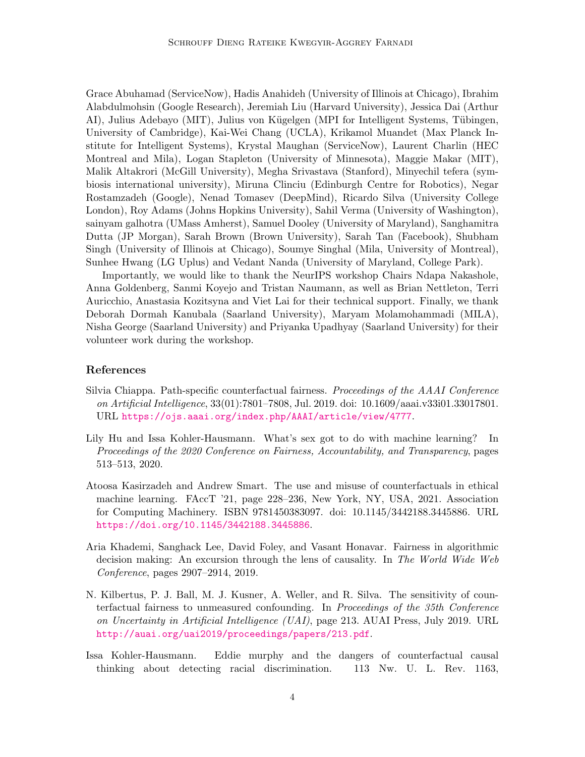Grace Abuhamad (ServiceNow), Hadis Anahideh (University of Illinois at Chicago), Ibrahim Alabdulmohsin (Google Research), Jeremiah Liu (Harvard University), Jessica Dai (Arthur AI), Julius Adebayo (MIT), Julius von Kügelgen (MPI for Intelligent Systems, Tübingen, University of Cambridge), Kai-Wei Chang (UCLA), Krikamol Muandet (Max Planck Institute for Intelligent Systems), Krystal Maughan (ServiceNow), Laurent Charlin (HEC Montreal and Mila), Logan Stapleton (University of Minnesota), Maggie Makar (MIT), Malik Altakrori (McGill University), Megha Srivastava (Stanford), Minyechil tefera (symbiosis international university), Miruna Clinciu (Edinburgh Centre for Robotics), Negar Rostamzadeh (Google), Nenad Tomasev (DeepMind), Ricardo Silva (University College London), Roy Adams (Johns Hopkins University), Sahil Verma (University of Washington), sainyam galhotra (UMass Amherst), Samuel Dooley (University of Maryland), Sanghamitra Dutta (JP Morgan), Sarah Brown (Brown University), Sarah Tan (Facebook), Shubham Singh (University of Illinois at Chicago), Soumye Singhal (Mila, University of Montreal), Sunhee Hwang (LG Uplus) and Vedant Nanda (University of Maryland, College Park).

Importantly, we would like to thank the NeurIPS workshop Chairs Ndapa Nakashole, Anna Goldenberg, Sanmi Koyejo and Tristan Naumann, as well as Brian Nettleton, Terri Auricchio, Anastasia Kozitsyna and Viet Lai for their technical support. Finally, we thank Deborah Dormah Kanubala (Saarland University), Maryam Molamohammadi (MILA), Nisha George (Saarland University) and Priyanka Upadhyay (Saarland University) for their volunteer work during the workshop.

#### References

- <span id="page-3-0"></span>Silvia Chiappa. Path-specific counterfactual fairness. Proceedings of the AAAI Conference on Artificial Intelligence, 33(01):7801–7808, Jul. 2019. doi: 10.1609/aaai.v33i01.33017801. URL <https://ojs.aaai.org/index.php/AAAI/article/view/4777>.
- <span id="page-3-4"></span>Lily Hu and Issa Kohler-Hausmann. What's sex got to do with machine learning? In Proceedings of the 2020 Conference on Fairness, Accountability, and Transparency, pages 513–513, 2020.
- <span id="page-3-5"></span>Atoosa Kasirzadeh and Andrew Smart. The use and misuse of counterfactuals in ethical machine learning. FAccT '21, page 228–236, New York, NY, USA, 2021. Association for Computing Machinery. ISBN 9781450383097. doi: 10.1145/3442188.3445886. URL <https://doi.org/10.1145/3442188.3445886>.
- <span id="page-3-1"></span>Aria Khademi, Sanghack Lee, David Foley, and Vasant Honavar. Fairness in algorithmic decision making: An excursion through the lens of causality. In The World Wide Web Conference, pages 2907–2914, 2019.
- <span id="page-3-2"></span>N. Kilbertus, P. J. Ball, M. J. Kusner, A. Weller, and R. Silva. The sensitivity of counterfactual fairness to unmeasured confounding. In Proceedings of the 35th Conference on Uncertainty in Artificial Intelligence (UAI), page 213. AUAI Press, July 2019. URL <http://auai.org/uai2019/proceedings/papers/213.pdf>.
- <span id="page-3-3"></span>Issa Kohler-Hausmann. Eddie murphy and the dangers of counterfactual causal thinking about detecting racial discrimination. 113 Nw. U. L. Rev. 1163,